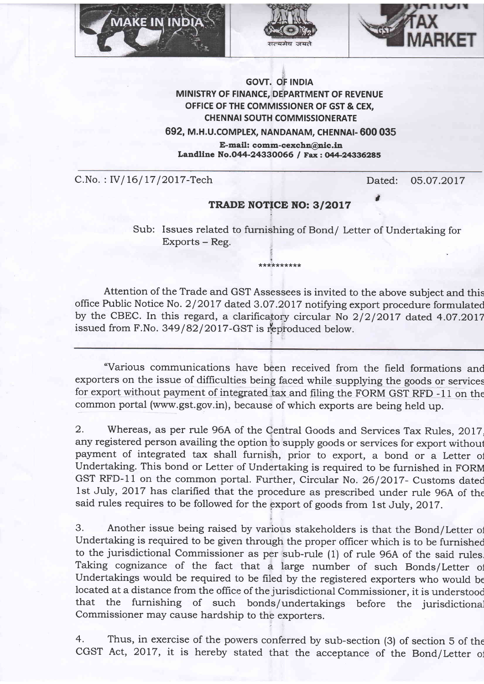





## GOW. Of INDIA MINISTRY OF FINANCE, DEPARTMENT OF REVENUE OFFICE OF THE COMMISSIONER OF GST & CEX, **CHENNAI SOUTH COMMISSIONERATE**

692, M.H.u.coMpLEx, NANDANAM, CHENNA|- 600 03S

E-mail: comm-cexchn@nic.in Landline No.044-24330066 / Fax: 044-24336285

C.No.: IV/16/17/2017-Tech Dated: 05.07.2017

3

## TRADE NOTICE NO: 3/2017

Sub: Issues related to furnishing of Bond/ Letter of Undertaking for Exports - Reg. e me K

Attention of the Trade and GST Assessees is invited to the above subject and this office Public Notice No. 2/2017 dated 3.07.2017 notifying export procedure formulated by the CBEC. In this regard, a clarificatory circular No  $2/2/2017$  dated 4.07.2017 issued from F.No.  $349/82/2017$ -GST is reproduced below.

\*\*\*t\*\*\*\*\*\*\*

"Various communications have been received from the field formations and exporters on the issue of difficulties being faced while supplying the goods or services for export without payment of integrated tax and filing the FORM GST RFD -11 on the common portal (www.gst.gov.in), because of which exports are being held up.

2. Whereas, as per rule 96A of the Qentral Goods and Services Tax Rules, 2017, any registered person availing the option io supply goods or services for export withoul payment of integrated tax shall furnish, prior to export, a bond or a Letter of Undertaking. This bond or Letter of Undertaking is required to be furnished in FORM GST RFD-11 on the common portal. Further, Circular No. 26/2017- Customs dated 1st July, 2017 has clarified that the procedure as prescribed under rule 96A of the said rules requires to be followed for the gxport of goods from lst July,2OIT.

3. Another issue being raised by various stakeholders is that the Bond/Letter or Undertaking is required to be given through the proper oflicer which is to be furnished to the jurisdictional Commissioner as per sub-rule (1) of rule 96A of the said rules Taking cognizance of the fact that a large number of such Bonds/Letter of undertakings would be required to be filed by the registered exporters who would be located at a distance from the office of the jurisdictional Commissioner, it is understood that the furnishing of such bonds/undertakings before the jurisdictional Commissioner may cause hardship to the exporters.

4. Thus, in exercise of the powers conferred by sub-section (3) of section 5 of the CGST Act, 2017, it is hereby stated that the acceptance of the Bond/Letter of